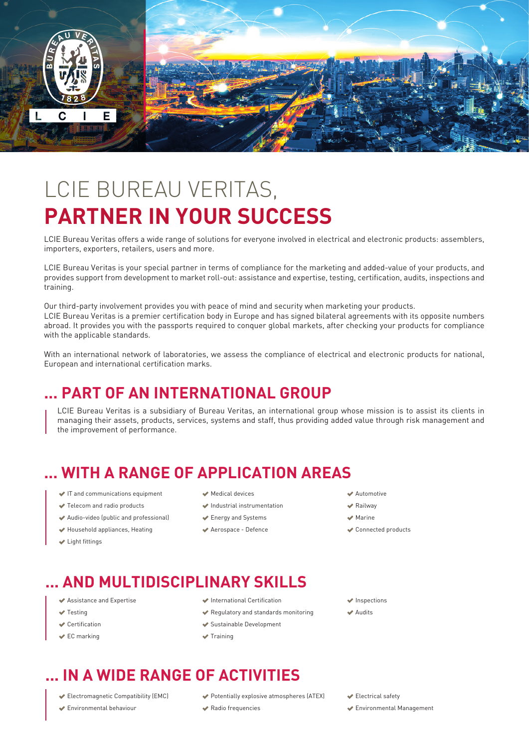

# LCIE BUREAU VERITAS, **PARTNER IN YOUR SUCCESS**

LCIE Bureau Veritas offers a wide range of solutions for everyone involved in electrical and electronic products: assemblers, importers, exporters, retailers, users and more.

LCIE Bureau Veritas is your special partner in terms of compliance for the marketing and added-value of your products, and provides support from development to market roll-out: assistance and expertise, testing, certification, audits, inspections and training.

Our third-party involvement provides you with peace of mind and security when marketing your products. LCIE Bureau Veritas is a premier certification body in Europe and has signed bilateral agreements with its opposite numbers abroad. It provides you with the passports required to conquer global markets, after checking your products for compliance with the applicable standards.

With an international network of laboratories, we assess the compliance of electrical and electronic products for national, European and international certification marks.

## **... PART OF AN INTERNATIONAL GROUP**

LCIE Bureau Veritas is a subsidiary of Bureau Veritas, an international group whose mission is to assist its clients in managing their assets, products, services, systems and staff, thus providing added value through risk management and the improvement of performance.

# **... WITH A RANGE OF APPLICATION AREAS**

- IT and communications equipment
- Telecom and radio products
- Audio-video (public and professional)
- Household appliances, Heating
- Light fittings
- Medical devices
- Industrial instrumentation
- Energy and Systems
- Aerospace Defence

#### Automotive

- Railway
- Marine
- Connected products

# **... AND MULTIDISCIPLINARY SKILLS**

- Assistance and Expertise
- **M** Testing
- Certification
- **EC** marking
- International Certification
- Regulatory and standards monitoring
- Sustainable Development
- $\rightarrow$  Training

#### **Inspections**

**Audite** 

# **... IN A WIDE RANGE OF ACTIVITIES**

- Electromagnetic Compatibility (EMC)
- Environmental behaviour
- Potentially explosive atmospheres (ATEX)
- Radio frequencies
- Electrical safety
- Environmental Management